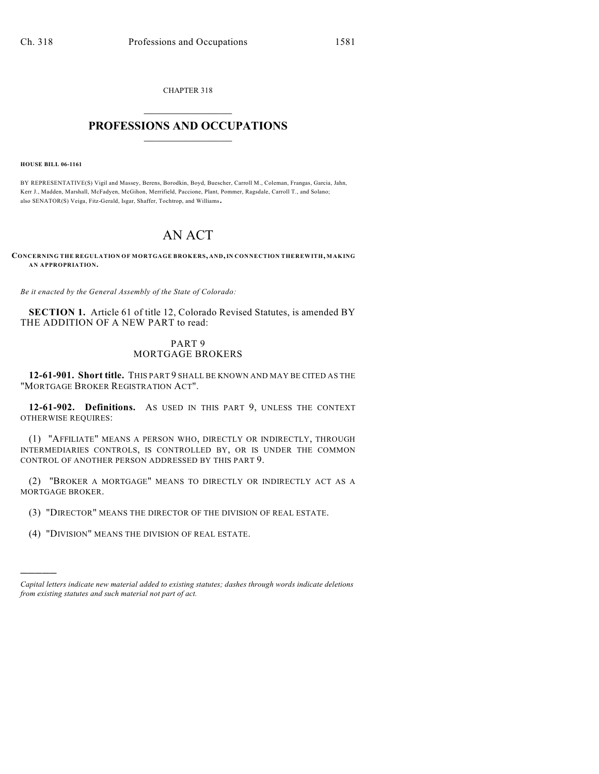CHAPTER 318  $\mathcal{L}_\text{max}$  . The set of the set of the set of the set of the set of the set of the set of the set of the set of the set of the set of the set of the set of the set of the set of the set of the set of the set of the set

## **PROFESSIONS AND OCCUPATIONS**  $\frac{1}{2}$  ,  $\frac{1}{2}$  ,  $\frac{1}{2}$  ,  $\frac{1}{2}$  ,  $\frac{1}{2}$  ,  $\frac{1}{2}$

**HOUSE BILL 06-1161**

)))))

BY REPRESENTATIVE(S) Vigil and Massey, Berens, Borodkin, Boyd, Buescher, Carroll M., Coleman, Frangas, Garcia, Jahn, Kerr J., Madden, Marshall, McFadyen, McGihon, Merrifield, Paccione, Plant, Pommer, Ragsdale, Carroll T., and Solano; also SENATOR(S) Veiga, Fitz-Gerald, Isgar, Shaffer, Tochtrop, and Williams.

## AN ACT

**CONCERNING THE REGULATION OF MORTGAGE BROKERS, AND, IN CONNECTION THEREWITH, MAKING AN APPROPRIATION.**

*Be it enacted by the General Assembly of the State of Colorado:*

**SECTION 1.** Article 61 of title 12, Colorado Revised Statutes, is amended BY THE ADDITION OF A NEW PART to read:

## PART 9 MORTGAGE BROKERS

**12-61-901. Short title.** THIS PART 9 SHALL BE KNOWN AND MAY BE CITED AS THE "MORTGAGE BROKER REGISTRATION ACT".

**12-61-902. Definitions.** AS USED IN THIS PART 9, UNLESS THE CONTEXT OTHERWISE REQUIRES:

(1) "AFFILIATE" MEANS A PERSON WHO, DIRECTLY OR INDIRECTLY, THROUGH INTERMEDIARIES CONTROLS, IS CONTROLLED BY, OR IS UNDER THE COMMON CONTROL OF ANOTHER PERSON ADDRESSED BY THIS PART 9.

(2) "BROKER A MORTGAGE" MEANS TO DIRECTLY OR INDIRECTLY ACT AS A MORTGAGE BROKER.

(3) "DIRECTOR" MEANS THE DIRECTOR OF THE DIVISION OF REAL ESTATE.

(4) "DIVISION" MEANS THE DIVISION OF REAL ESTATE.

*Capital letters indicate new material added to existing statutes; dashes through words indicate deletions from existing statutes and such material not part of act.*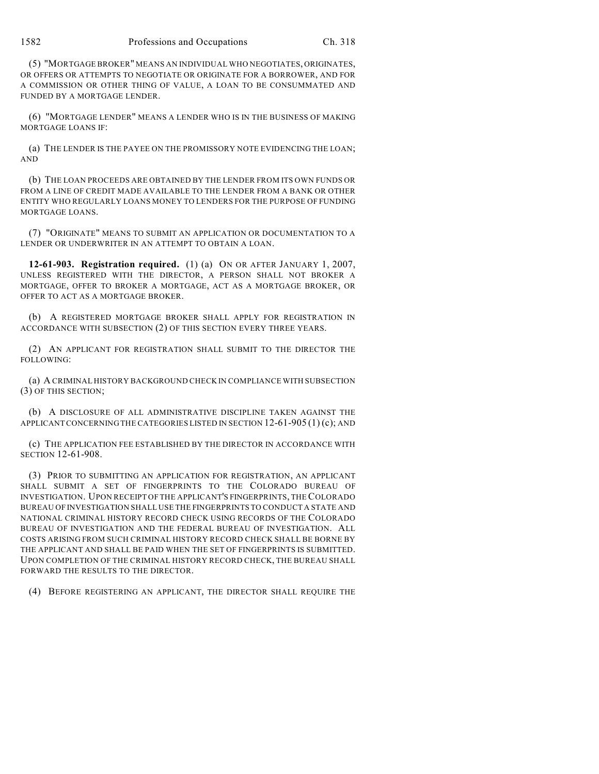(5) "MORTGAGE BROKER" MEANS AN INDIVIDUAL WHO NEGOTIATES, ORIGINATES, OR OFFERS OR ATTEMPTS TO NEGOTIATE OR ORIGINATE FOR A BORROWER, AND FOR A COMMISSION OR OTHER THING OF VALUE, A LOAN TO BE CONSUMMATED AND FUNDED BY A MORTGAGE LENDER.

(6) "MORTGAGE LENDER" MEANS A LENDER WHO IS IN THE BUSINESS OF MAKING MORTGAGE LOANS IF:

(a) THE LENDER IS THE PAYEE ON THE PROMISSORY NOTE EVIDENCING THE LOAN; AND

(b) THE LOAN PROCEEDS ARE OBTAINED BY THE LENDER FROM ITS OWN FUNDS OR FROM A LINE OF CREDIT MADE AVAILABLE TO THE LENDER FROM A BANK OR OTHER ENTITY WHO REGULARLY LOANS MONEY TO LENDERS FOR THE PURPOSE OF FUNDING MORTGAGE LOANS.

(7) "ORIGINATE" MEANS TO SUBMIT AN APPLICATION OR DOCUMENTATION TO A LENDER OR UNDERWRITER IN AN ATTEMPT TO OBTAIN A LOAN.

**12-61-903. Registration required.** (1) (a) ON OR AFTER JANUARY 1, 2007, UNLESS REGISTERED WITH THE DIRECTOR, A PERSON SHALL NOT BROKER A MORTGAGE, OFFER TO BROKER A MORTGAGE, ACT AS A MORTGAGE BROKER, OR OFFER TO ACT AS A MORTGAGE BROKER.

(b) A REGISTERED MORTGAGE BROKER SHALL APPLY FOR REGISTRATION IN ACCORDANCE WITH SUBSECTION (2) OF THIS SECTION EVERY THREE YEARS.

(2) AN APPLICANT FOR REGISTRATION SHALL SUBMIT TO THE DIRECTOR THE FOLLOWING:

(a) A CRIMINAL HISTORY BACKGROUND CHECK IN COMPLIANCE WITH SUBSECTION (3) OF THIS SECTION;

(b) A DISCLOSURE OF ALL ADMINISTRATIVE DISCIPLINE TAKEN AGAINST THE APPLICANT CONCERNING THE CATEGORIES LISTED IN SECTION  $12-61-905(1)(c)$ ; AND

(c) THE APPLICATION FEE ESTABLISHED BY THE DIRECTOR IN ACCORDANCE WITH SECTION 12-61-908.

(3) PRIOR TO SUBMITTING AN APPLICATION FOR REGISTRATION, AN APPLICANT SHALL SUBMIT A SET OF FINGERPRINTS TO THE COLORADO BUREAU OF INVESTIGATION. UPON RECEIPT OF THE APPLICANT'S FINGERPRINTS, THE COLORADO BUREAU OF INVESTIGATION SHALL USE THE FINGERPRINTS TO CONDUCT A STATE AND NATIONAL CRIMINAL HISTORY RECORD CHECK USING RECORDS OF THE COLORADO BUREAU OF INVESTIGATION AND THE FEDERAL BUREAU OF INVESTIGATION. ALL COSTS ARISING FROM SUCH CRIMINAL HISTORY RECORD CHECK SHALL BE BORNE BY THE APPLICANT AND SHALL BE PAID WHEN THE SET OF FINGERPRINTS IS SUBMITTED. UPON COMPLETION OF THE CRIMINAL HISTORY RECORD CHECK, THE BUREAU SHALL FORWARD THE RESULTS TO THE DIRECTOR.

(4) BEFORE REGISTERING AN APPLICANT, THE DIRECTOR SHALL REQUIRE THE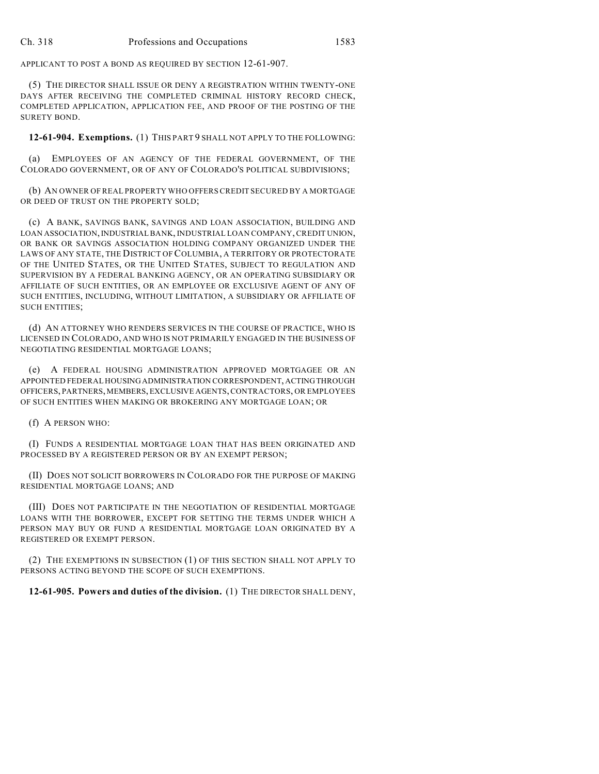APPLICANT TO POST A BOND AS REQUIRED BY SECTION 12-61-907.

(5) THE DIRECTOR SHALL ISSUE OR DENY A REGISTRATION WITHIN TWENTY-ONE DAYS AFTER RECEIVING THE COMPLETED CRIMINAL HISTORY RECORD CHECK, COMPLETED APPLICATION, APPLICATION FEE, AND PROOF OF THE POSTING OF THE SURETY BOND.

**12-61-904. Exemptions.** (1) THIS PART 9 SHALL NOT APPLY TO THE FOLLOWING:

(a) EMPLOYEES OF AN AGENCY OF THE FEDERAL GOVERNMENT, OF THE COLORADO GOVERNMENT, OR OF ANY OF COLORADO'S POLITICAL SUBDIVISIONS;

(b) AN OWNER OF REAL PROPERTY WHO OFFERS CREDIT SECURED BY A MORTGAGE OR DEED OF TRUST ON THE PROPERTY SOLD;

(c) A BANK, SAVINGS BANK, SAVINGS AND LOAN ASSOCIATION, BUILDING AND LOAN ASSOCIATION, INDUSTRIAL BANK, INDUSTRIAL LOAN COMPANY, CREDIT UNION, OR BANK OR SAVINGS ASSOCIATION HOLDING COMPANY ORGANIZED UNDER THE LAWS OF ANY STATE, THE DISTRICT OF COLUMBIA, A TERRITORY OR PROTECTORATE OF THE UNITED STATES, OR THE UNITED STATES, SUBJECT TO REGULATION AND SUPERVISION BY A FEDERAL BANKING AGENCY, OR AN OPERATING SUBSIDIARY OR AFFILIATE OF SUCH ENTITIES, OR AN EMPLOYEE OR EXCLUSIVE AGENT OF ANY OF SUCH ENTITIES, INCLUDING, WITHOUT LIMITATION, A SUBSIDIARY OR AFFILIATE OF SUCH ENTITIES;

(d) AN ATTORNEY WHO RENDERS SERVICES IN THE COURSE OF PRACTICE, WHO IS LICENSED IN COLORADO, AND WHO IS NOT PRIMARILY ENGAGED IN THE BUSINESS OF NEGOTIATING RESIDENTIAL MORTGAGE LOANS;

(e) A FEDERAL HOUSING ADMINISTRATION APPROVED MORTGAGEE OR AN APPOINTED FEDERAL HOUSING ADMINISTRATION CORRESPONDENT, ACTING THROUGH OFFICERS, PARTNERS, MEMBERS, EXCLUSIVE AGENTS, CONTRACTORS, OR EMPLOYEES OF SUCH ENTITIES WHEN MAKING OR BROKERING ANY MORTGAGE LOAN; OR

(f) A PERSON WHO:

(I) FUNDS A RESIDENTIAL MORTGAGE LOAN THAT HAS BEEN ORIGINATED AND PROCESSED BY A REGISTERED PERSON OR BY AN EXEMPT PERSON;

(II) DOES NOT SOLICIT BORROWERS IN COLORADO FOR THE PURPOSE OF MAKING RESIDENTIAL MORTGAGE LOANS; AND

(III) DOES NOT PARTICIPATE IN THE NEGOTIATION OF RESIDENTIAL MORTGAGE LOANS WITH THE BORROWER, EXCEPT FOR SETTING THE TERMS UNDER WHICH A PERSON MAY BUY OR FUND A RESIDENTIAL MORTGAGE LOAN ORIGINATED BY A REGISTERED OR EXEMPT PERSON.

(2) THE EXEMPTIONS IN SUBSECTION (1) OF THIS SECTION SHALL NOT APPLY TO PERSONS ACTING BEYOND THE SCOPE OF SUCH EXEMPTIONS.

**12-61-905. Powers and duties of the division.** (1) THE DIRECTOR SHALL DENY,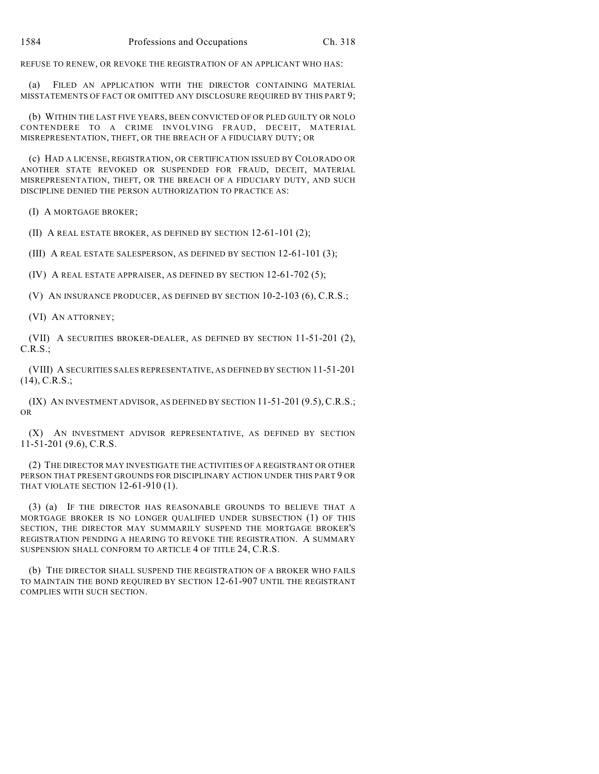REFUSE TO RENEW, OR REVOKE THE REGISTRATION OF AN APPLICANT WHO HAS:

(a) FILED AN APPLICATION WITH THE DIRECTOR CONTAINING MATERIAL MISSTATEMENTS OF FACT OR OMITTED ANY DISCLOSURE REQUIRED BY THIS PART 9;

(b) WITHIN THE LAST FIVE YEARS, BEEN CONVICTED OF OR PLED GUILTY OR NOLO CONTENDERE TO A CRIME INVOLVING FRAUD, DECEIT, MATERIAL MISREPRESENTATION, THEFT, OR THE BREACH OF A FIDUCIARY DUTY; OR

(c) HAD A LICENSE, REGISTRATION, OR CERTIFICATION ISSUED BY COLORADO OR ANOTHER STATE REVOKED OR SUSPENDED FOR FRAUD, DECEIT, MATERIAL MISREPRESENTATION, THEFT, OR THE BREACH OF A FIDUCIARY DUTY, AND SUCH DISCIPLINE DENIED THE PERSON AUTHORIZATION TO PRACTICE AS:

(I) A MORTGAGE BROKER;

(II) A REAL ESTATE BROKER, AS DEFINED BY SECTION 12-61-101 (2);

(III) A REAL ESTATE SALESPERSON, AS DEFINED BY SECTION 12-61-101 (3);

(IV) A REAL ESTATE APPRAISER, AS DEFINED BY SECTION 12-61-702 (5);

(V) AN INSURANCE PRODUCER, AS DEFINED BY SECTION 10-2-103 (6), C.R.S.;

(VI) AN ATTORNEY;

(VII) A SECURITIES BROKER-DEALER, AS DEFINED BY SECTION 11-51-201 (2), C.R.S.;

(VIII) A SECURITIES SALES REPRESENTATIVE, AS DEFINED BY SECTION 11-51-201 (14), C.R.S.;

(IX) AN INVESTMENT ADVISOR, AS DEFINED BY SECTION 11-51-201 (9.5), C.R.S.; OR

(X) AN INVESTMENT ADVISOR REPRESENTATIVE, AS DEFINED BY SECTION 11-51-201 (9.6), C.R.S.

(2) THE DIRECTOR MAY INVESTIGATE THE ACTIVITIES OF A REGISTRANT OR OTHER PERSON THAT PRESENT GROUNDS FOR DISCIPLINARY ACTION UNDER THIS PART 9 OR THAT VIOLATE SECTION 12-61-910 (1).

(3) (a) IF THE DIRECTOR HAS REASONABLE GROUNDS TO BELIEVE THAT A MORTGAGE BROKER IS NO LONGER QUALIFIED UNDER SUBSECTION (1) OF THIS SECTION, THE DIRECTOR MAY SUMMARILY SUSPEND THE MORTGAGE BROKER'S REGISTRATION PENDING A HEARING TO REVOKE THE REGISTRATION. A SUMMARY SUSPENSION SHALL CONFORM TO ARTICLE 4 OF TITLE 24, C.R.S.

(b) THE DIRECTOR SHALL SUSPEND THE REGISTRATION OF A BROKER WHO FAILS TO MAINTAIN THE BOND REQUIRED BY SECTION 12-61-907 UNTIL THE REGISTRANT COMPLIES WITH SUCH SECTION.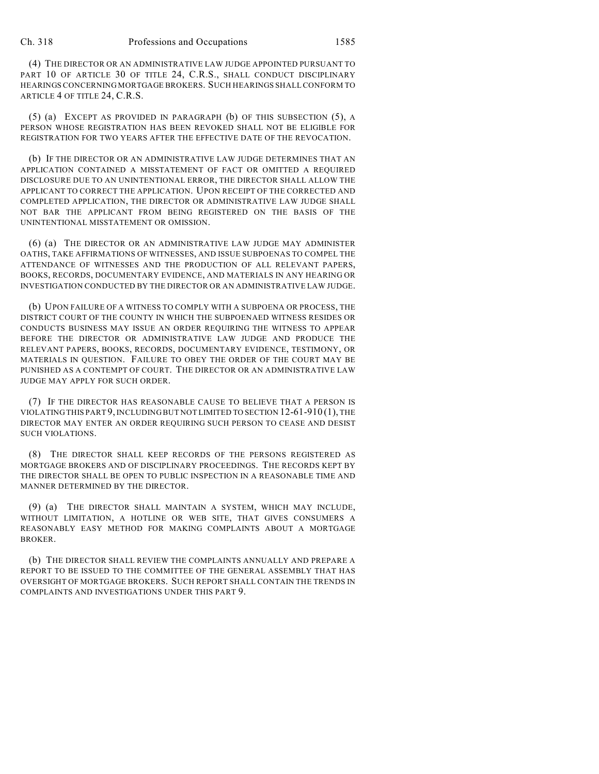(4) THE DIRECTOR OR AN ADMINISTRATIVE LAW JUDGE APPOINTED PURSUANT TO PART 10 OF ARTICLE 30 OF TITLE 24, C.R.S., SHALL CONDUCT DISCIPLINARY HEARINGS CONCERNING MORTGAGE BROKERS. SUCH HEARINGS SHALL CONFORM TO ARTICLE 4 OF TITLE 24, C.R.S.

(5) (a) EXCEPT AS PROVIDED IN PARAGRAPH (b) OF THIS SUBSECTION (5), A PERSON WHOSE REGISTRATION HAS BEEN REVOKED SHALL NOT BE ELIGIBLE FOR REGISTRATION FOR TWO YEARS AFTER THE EFFECTIVE DATE OF THE REVOCATION.

(b) IF THE DIRECTOR OR AN ADMINISTRATIVE LAW JUDGE DETERMINES THAT AN APPLICATION CONTAINED A MISSTATEMENT OF FACT OR OMITTED A REQUIRED DISCLOSURE DUE TO AN UNINTENTIONAL ERROR, THE DIRECTOR SHALL ALLOW THE APPLICANT TO CORRECT THE APPLICATION. UPON RECEIPT OF THE CORRECTED AND COMPLETED APPLICATION, THE DIRECTOR OR ADMINISTRATIVE LAW JUDGE SHALL NOT BAR THE APPLICANT FROM BEING REGISTERED ON THE BASIS OF THE UNINTENTIONAL MISSTATEMENT OR OMISSION.

(6) (a) THE DIRECTOR OR AN ADMINISTRATIVE LAW JUDGE MAY ADMINISTER OATHS, TAKE AFFIRMATIONS OF WITNESSES, AND ISSUE SUBPOENAS TO COMPEL THE ATTENDANCE OF WITNESSES AND THE PRODUCTION OF ALL RELEVANT PAPERS, BOOKS, RECORDS, DOCUMENTARY EVIDENCE, AND MATERIALS IN ANY HEARING OR INVESTIGATION CONDUCTED BY THE DIRECTOR OR AN ADMINISTRATIVE LAW JUDGE.

(b) UPON FAILURE OF A WITNESS TO COMPLY WITH A SUBPOENA OR PROCESS, THE DISTRICT COURT OF THE COUNTY IN WHICH THE SUBPOENAED WITNESS RESIDES OR CONDUCTS BUSINESS MAY ISSUE AN ORDER REQUIRING THE WITNESS TO APPEAR BEFORE THE DIRECTOR OR ADMINISTRATIVE LAW JUDGE AND PRODUCE THE RELEVANT PAPERS, BOOKS, RECORDS, DOCUMENTARY EVIDENCE, TESTIMONY, OR MATERIALS IN QUESTION. FAILURE TO OBEY THE ORDER OF THE COURT MAY BE PUNISHED AS A CONTEMPT OF COURT. THE DIRECTOR OR AN ADMINISTRATIVE LAW JUDGE MAY APPLY FOR SUCH ORDER.

(7) IF THE DIRECTOR HAS REASONABLE CAUSE TO BELIEVE THAT A PERSON IS VIOLATING THIS PART 9, INCLUDING BUT NOT LIMITED TO SECTION 12-61-910 (1), THE DIRECTOR MAY ENTER AN ORDER REQUIRING SUCH PERSON TO CEASE AND DESIST SUCH VIOLATIONS.

(8) THE DIRECTOR SHALL KEEP RECORDS OF THE PERSONS REGISTERED AS MORTGAGE BROKERS AND OF DISCIPLINARY PROCEEDINGS. THE RECORDS KEPT BY THE DIRECTOR SHALL BE OPEN TO PUBLIC INSPECTION IN A REASONABLE TIME AND MANNER DETERMINED BY THE DIRECTOR.

(9) (a) THE DIRECTOR SHALL MAINTAIN A SYSTEM, WHICH MAY INCLUDE, WITHOUT LIMITATION, A HOTLINE OR WEB SITE, THAT GIVES CONSUMERS A REASONABLY EASY METHOD FOR MAKING COMPLAINTS ABOUT A MORTGAGE BROKER.

(b) THE DIRECTOR SHALL REVIEW THE COMPLAINTS ANNUALLY AND PREPARE A REPORT TO BE ISSUED TO THE COMMITTEE OF THE GENERAL ASSEMBLY THAT HAS OVERSIGHT OF MORTGAGE BROKERS. SUCH REPORT SHALL CONTAIN THE TRENDS IN COMPLAINTS AND INVESTIGATIONS UNDER THIS PART 9.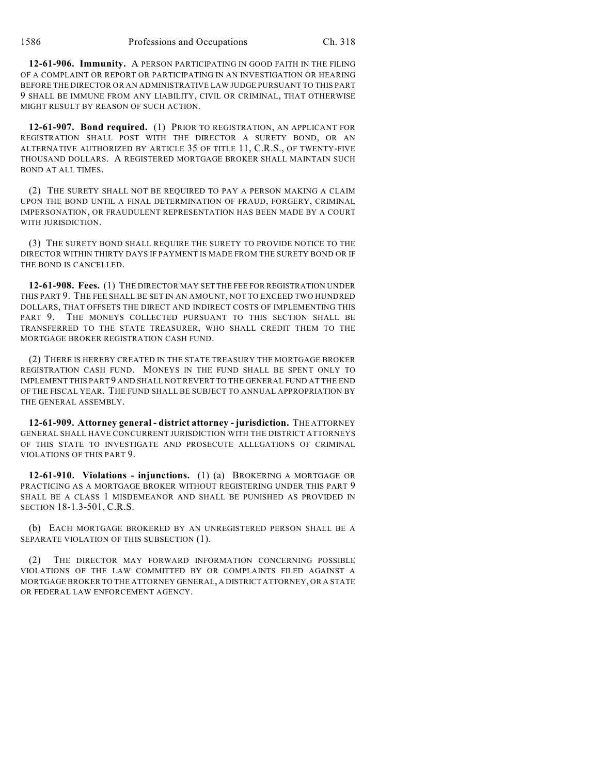**12-61-906. Immunity.** A PERSON PARTICIPATING IN GOOD FAITH IN THE FILING OF A COMPLAINT OR REPORT OR PARTICIPATING IN AN INVESTIGATION OR HEARING BEFORE THE DIRECTOR OR AN ADMINISTRATIVE LAW JUDGE PURSUANT TO THIS PART 9 SHALL BE IMMUNE FROM ANY LIABILITY, CIVIL OR CRIMINAL, THAT OTHERWISE MIGHT RESULT BY REASON OF SUCH ACTION.

**12-61-907. Bond required.** (1) PRIOR TO REGISTRATION, AN APPLICANT FOR REGISTRATION SHALL POST WITH THE DIRECTOR A SURETY BOND, OR AN ALTERNATIVE AUTHORIZED BY ARTICLE 35 OF TITLE 11, C.R.S., OF TWENTY-FIVE THOUSAND DOLLARS. A REGISTERED MORTGAGE BROKER SHALL MAINTAIN SUCH BOND AT ALL TIMES.

(2) THE SURETY SHALL NOT BE REQUIRED TO PAY A PERSON MAKING A CLAIM UPON THE BOND UNTIL A FINAL DETERMINATION OF FRAUD, FORGERY, CRIMINAL IMPERSONATION, OR FRAUDULENT REPRESENTATION HAS BEEN MADE BY A COURT WITH JURISDICTION.

(3) THE SURETY BOND SHALL REQUIRE THE SURETY TO PROVIDE NOTICE TO THE DIRECTOR WITHIN THIRTY DAYS IF PAYMENT IS MADE FROM THE SURETY BOND OR IF THE BOND IS CANCELLED.

**12-61-908. Fees.** (1) THE DIRECTOR MAY SET THE FEE FOR REGISTRATION UNDER THIS PART 9. THE FEE SHALL BE SET IN AN AMOUNT, NOT TO EXCEED TWO HUNDRED DOLLARS, THAT OFFSETS THE DIRECT AND INDIRECT COSTS OF IMPLEMENTING THIS PART 9. THE MONEYS COLLECTED PURSUANT TO THIS SECTION SHALL BE TRANSFERRED TO THE STATE TREASURER, WHO SHALL CREDIT THEM TO THE MORTGAGE BROKER REGISTRATION CASH FUND.

(2) THERE IS HEREBY CREATED IN THE STATE TREASURY THE MORTGAGE BROKER REGISTRATION CASH FUND. MONEYS IN THE FUND SHALL BE SPENT ONLY TO IMPLEMENT THIS PART 9 AND SHALL NOT REVERT TO THE GENERAL FUND AT THE END OF THE FISCAL YEAR. THE FUND SHALL BE SUBJECT TO ANNUAL APPROPRIATION BY THE GENERAL ASSEMBLY.

**12-61-909. Attorney general - district attorney - jurisdiction.** THE ATTORNEY GENERAL SHALL HAVE CONCURRENT JURISDICTION WITH THE DISTRICT ATTORNEYS OF THIS STATE TO INVESTIGATE AND PROSECUTE ALLEGATIONS OF CRIMINAL VIOLATIONS OF THIS PART 9.

**12-61-910. Violations - injunctions.** (1) (a) BROKERING A MORTGAGE OR PRACTICING AS A MORTGAGE BROKER WITHOUT REGISTERING UNDER THIS PART 9 SHALL BE A CLASS 1 MISDEMEANOR AND SHALL BE PUNISHED AS PROVIDED IN SECTION 18-1.3-501, C.R.S.

(b) EACH MORTGAGE BROKERED BY AN UNREGISTERED PERSON SHALL BE A SEPARATE VIOLATION OF THIS SUBSECTION (1).

(2) THE DIRECTOR MAY FORWARD INFORMATION CONCERNING POSSIBLE VIOLATIONS OF THE LAW COMMITTED BY OR COMPLAINTS FILED AGAINST A MORTGAGE BROKER TO THE ATTORNEY GENERAL, A DISTRICT ATTORNEY, OR A STATE OR FEDERAL LAW ENFORCEMENT AGENCY.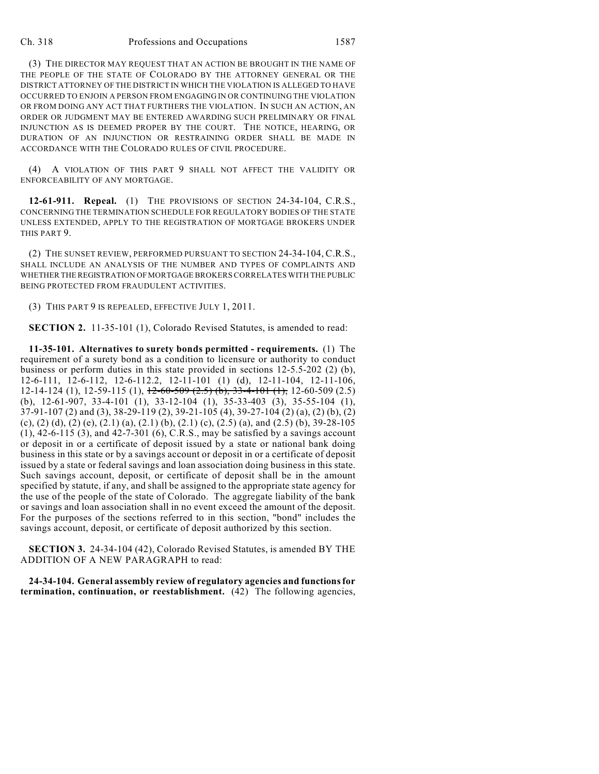## Ch. 318 Professions and Occupations 1587

(3) THE DIRECTOR MAY REQUEST THAT AN ACTION BE BROUGHT IN THE NAME OF THE PEOPLE OF THE STATE OF COLORADO BY THE ATTORNEY GENERAL OR THE DISTRICT ATTORNEY OF THE DISTRICT IN WHICH THE VIOLATION IS ALLEGED TO HAVE OCCURRED TO ENJOIN A PERSON FROM ENGAGING IN OR CONTINUING THE VIOLATION OR FROM DOING ANY ACT THAT FURTHERS THE VIOLATION. IN SUCH AN ACTION, AN ORDER OR JUDGMENT MAY BE ENTERED AWARDING SUCH PRELIMINARY OR FINAL INJUNCTION AS IS DEEMED PROPER BY THE COURT. THE NOTICE, HEARING, OR DURATION OF AN INJUNCTION OR RESTRAINING ORDER SHALL BE MADE IN ACCORDANCE WITH THE COLORADO RULES OF CIVIL PROCEDURE.

(4) A VIOLATION OF THIS PART 9 SHALL NOT AFFECT THE VALIDITY OR ENFORCEABILITY OF ANY MORTGAGE.

**12-61-911. Repeal.** (1) THE PROVISIONS OF SECTION 24-34-104, C.R.S., CONCERNING THE TERMINATION SCHEDULE FOR REGULATORY BODIES OF THE STATE UNLESS EXTENDED, APPLY TO THE REGISTRATION OF MORTGAGE BROKERS UNDER THIS PART 9.

(2) THE SUNSET REVIEW, PERFORMED PURSUANT TO SECTION 24-34-104, C.R.S., SHALL INCLUDE AN ANALYSIS OF THE NUMBER AND TYPES OF COMPLAINTS AND WHETHER THE REGISTRATION OF MORTGAGE BROKERS CORRELATES WITH THE PUBLIC BEING PROTECTED FROM FRAUDULENT ACTIVITIES.

(3) THIS PART 9 IS REPEALED, EFFECTIVE JULY 1, 2011.

**SECTION 2.** 11-35-101 (1), Colorado Revised Statutes, is amended to read:

**11-35-101. Alternatives to surety bonds permitted - requirements.** (1) The requirement of a surety bond as a condition to licensure or authority to conduct business or perform duties in this state provided in sections 12-5.5-202 (2) (b), 12-6-111, 12-6-112, 12-6-112.2, 12-11-101 (1) (d), 12-11-104, 12-11-106, 12-14-124 (1), 12-59-115 (1),  $12-60-509$  (2.5) (b),  $33-4-101$  (1), 12-60-509 (2.5) (b), 12-61-907, 33-4-101 (1), 33-12-104 (1), 35-33-403 (3), 35-55-104 (1), 37-91-107 (2) and (3), 38-29-119 (2), 39-21-105 (4), 39-27-104 (2) (a), (2) (b), (2) (c),  $(2)$  (d),  $(2)$  (e),  $(2.1)$  (a),  $(2.1)$  (b),  $(2.1)$  (c),  $(2.5)$  (a), and  $(2.5)$  (b), 39-28-105 (1), 42-6-115 (3), and 42-7-301 (6), C.R.S., may be satisfied by a savings account or deposit in or a certificate of deposit issued by a state or national bank doing business in this state or by a savings account or deposit in or a certificate of deposit issued by a state or federal savings and loan association doing business in this state. Such savings account, deposit, or certificate of deposit shall be in the amount specified by statute, if any, and shall be assigned to the appropriate state agency for the use of the people of the state of Colorado. The aggregate liability of the bank or savings and loan association shall in no event exceed the amount of the deposit. For the purposes of the sections referred to in this section, "bond" includes the savings account, deposit, or certificate of deposit authorized by this section.

**SECTION 3.** 24-34-104 (42), Colorado Revised Statutes, is amended BY THE ADDITION OF A NEW PARAGRAPH to read:

**24-34-104. General assembly review of regulatory agencies and functions for termination, continuation, or reestablishment.** (42) The following agencies,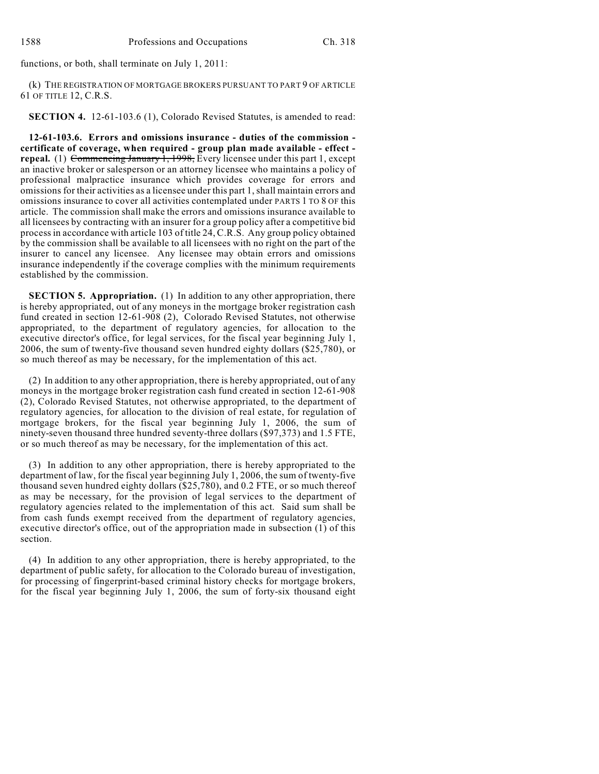functions, or both, shall terminate on July 1, 2011:

(k) THE REGISTRATION OF MORTGAGE BROKERS PURSUANT TO PART 9 OF ARTICLE 61 OF TITLE 12, C.R.S.

**SECTION 4.** 12-61-103.6 (1), Colorado Revised Statutes, is amended to read:

**12-61-103.6. Errors and omissions insurance - duties of the commission certificate of coverage, when required - group plan made available - effect repeal.** (1) Commencing January 1, 1998, Every licensee under this part 1, except an inactive broker or salesperson or an attorney licensee who maintains a policy of professional malpractice insurance which provides coverage for errors and omissions for their activities as a licensee under this part 1, shall maintain errors and omissions insurance to cover all activities contemplated under PARTS 1 TO 8 OF this article. The commission shall make the errors and omissions insurance available to all licensees by contracting with an insurer for a group policy after a competitive bid process in accordance with article 103 of title 24, C.R.S. Any group policy obtained by the commission shall be available to all licensees with no right on the part of the insurer to cancel any licensee. Any licensee may obtain errors and omissions insurance independently if the coverage complies with the minimum requirements established by the commission.

**SECTION 5. Appropriation.** (1) In addition to any other appropriation, there is hereby appropriated, out of any moneys in the mortgage broker registration cash fund created in section 12-61-908 (2), Colorado Revised Statutes, not otherwise appropriated, to the department of regulatory agencies, for allocation to the executive director's office, for legal services, for the fiscal year beginning July 1, 2006, the sum of twenty-five thousand seven hundred eighty dollars (\$25,780), or so much thereof as may be necessary, for the implementation of this act.

(2) In addition to any other appropriation, there is hereby appropriated, out of any moneys in the mortgage broker registration cash fund created in section 12-61-908 (2), Colorado Revised Statutes, not otherwise appropriated, to the department of regulatory agencies, for allocation to the division of real estate, for regulation of mortgage brokers, for the fiscal year beginning July 1, 2006, the sum of ninety-seven thousand three hundred seventy-three dollars (\$97,373) and 1.5 FTE, or so much thereof as may be necessary, for the implementation of this act.

(3) In addition to any other appropriation, there is hereby appropriated to the department of law, for the fiscal year beginning July 1, 2006, the sum of twenty-five thousand seven hundred eighty dollars (\$25,780), and 0.2 FTE, or so much thereof as may be necessary, for the provision of legal services to the department of regulatory agencies related to the implementation of this act. Said sum shall be from cash funds exempt received from the department of regulatory agencies, executive director's office, out of the appropriation made in subsection (1) of this section.

(4) In addition to any other appropriation, there is hereby appropriated, to the department of public safety, for allocation to the Colorado bureau of investigation, for processing of fingerprint-based criminal history checks for mortgage brokers, for the fiscal year beginning July 1, 2006, the sum of forty-six thousand eight